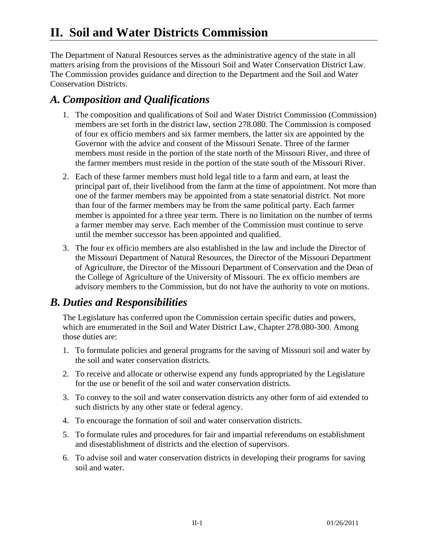The Department of Natural Resources serves as the administrative agency of the state in all matters arising from the provisions of the Missouri Soil and Water Conservation District Law. The Commission provides guidance and direction to the Department and the Soil and Water Conservation Districts.

## *A. Composition and Qualifications*

- 1. The composition and qualifications of Soil and Water District Commission (Commission) members are set forth in the district law, section 278.080. The Commission is composed of four ex officio members and six farmer members, the latter six are appointed by the Governor with the advice and consent of the Missouri Senate. Three of the farmer members must reside in the portion of the state north of the Missouri River, and three of the farmer members must reside in the portion of the state south of the Missouri River.
- 2. Each of these farmer members must hold legal title to a farm and earn, at least the principal part of, their livelihood from the farm at the time of appointment. Not more than one of the farmer members may be appointed from a state senatorial district. Not more than four of the farmer members may be from the same political party. Each farmer member is appointed for a three year term. There is no limitation on the number of terms a farmer member may serve. Each member of the Commission must continue to serve until the member successor has been appointed and qualified.
- 3. The four ex officio members are also established in the law and include the Director of the Missouri Department of Natural Resources, the Director of the Missouri Department of Agriculture, the Director of the Missouri Department of Conservation and the Dean of the College of Agriculture of the University of Missouri. The ex officio members are advisory members to the Commission, but do not have the authority to vote on motions.

## *B. Duties and Responsibilities*

 The Legislature has conferred upon the Commission certain specific duties and powers, which are enumerated in the Soil and Water District Law, Chapter 278.080-300. Among those duties are:

- 1. To formulate policies and general programs for the saving of Missouri soil and water by the soil and water conservation districts.
- 2. To receive and allocate or otherwise expend any funds appropriated by the Legislature for the use or benefit of the soil and water conservation districts.
- 3. To convey to the soil and water conservation districts any other form of aid extended to such districts by any other state or federal agency.
- 4. To encourage the formation of soil and water conservation districts.
- 5. To formulate rules and procedures for fair and impartial referendums on establishment and disestablishment of districts and the election of supervisors.
- 6. To advise soil and water conservation districts in developing their programs for saving soil and water.